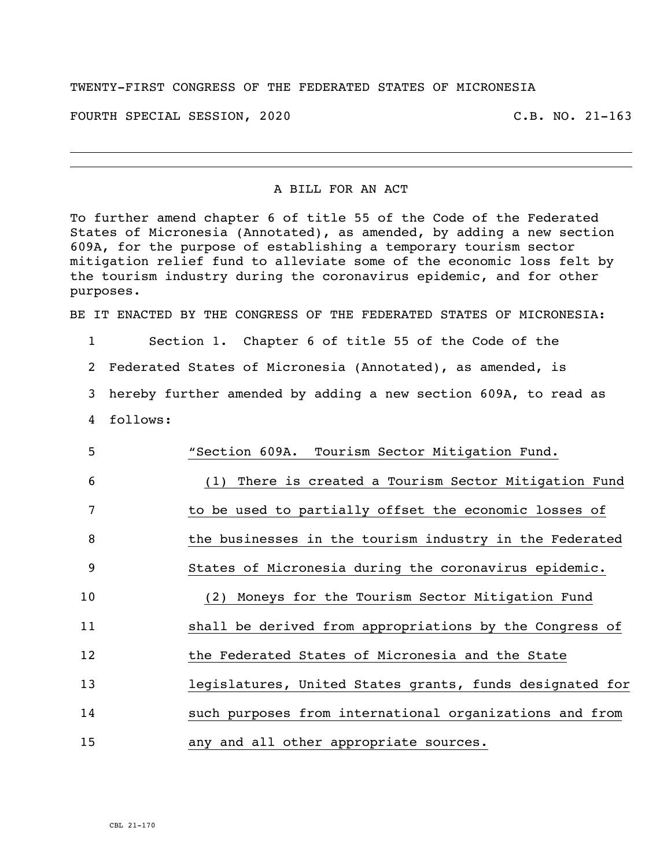## TWENTY-FIRST CONGRESS OF THE FEDERATED STATES OF MICRONESIA

FOURTH SPECIAL SESSION, 2020 C.B. NO. 21-163

## A BILL FOR AN ACT

To further amend chapter 6 of title 55 of the Code of the Federated States of Micronesia (Annotated), as amended, by adding a new section 609A, for the purpose of establishing a temporary tourism sector mitigation relief fund to alleviate some of the economic loss felt by the tourism industry during the coronavirus epidemic, and for other purposes.

BE IT ENACTED BY THE CONGRESS OF THE FEDERATED STATES OF MICRONESIA:

1 Section 1. Chapter 6 of title 55 of the Code of the

2 Federated States of Micronesia (Annotated), as amended, is

3 hereby further amended by adding a new section 609A, to read as

4 follows:

| 5  | "Section 609A. Tourism Sector Mitigation Fund.           |
|----|----------------------------------------------------------|
| 6  | (1) There is created a Tourism Sector Mitigation Fund    |
| 7  | to be used to partially offset the economic losses of    |
| 8  | the businesses in the tourism industry in the Federated  |
| -9 | States of Micronesia during the coronavirus epidemic.    |
| 10 | (2) Moneys for the Tourism Sector Mitigation Fund        |
| 11 | shall be derived from appropriations by the Congress of  |
| 12 | the Federated States of Micronesia and the State         |
| 13 | legislatures, United States grants, funds designated for |
| 14 | such purposes from international organizations and from  |
| 15 | any and all other appropriate sources.                   |